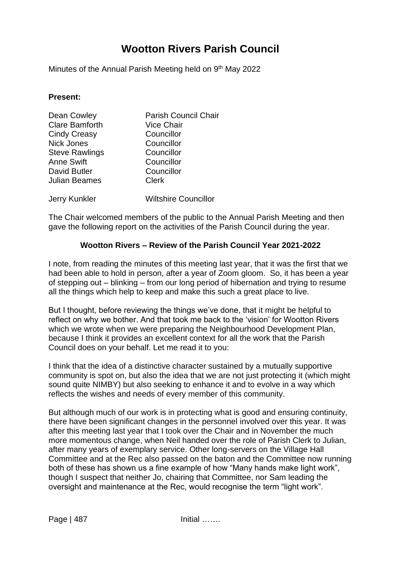# **Wootton Rivers Parish Council**

Minutes of the Annual Parish Meeting held on 9<sup>th</sup> May 2022

#### **Present:**

| Dean Cowley           | <b>Parish Council Chair</b> |
|-----------------------|-----------------------------|
| <b>Clare Bamforth</b> | <b>Vice Chair</b>           |
| <b>Cindy Creasy</b>   | Councillor                  |
| <b>Nick Jones</b>     | Councillor                  |
| <b>Steve Rawlings</b> | Councillor                  |
| <b>Anne Swift</b>     | Councillor                  |
| David Butler          | Councillor                  |
| <b>Julian Beames</b>  | <b>Clerk</b>                |
| Jerry Kunkler         | <b>Wiltshire Councillor</b> |

The Chair welcomed members of the public to the Annual Parish Meeting and then gave the following report on the activities of the Parish Council during the year.

## **Wootton Rivers – Review of the Parish Council Year 2021-2022**

I note, from reading the minutes of this meeting last year, that it was the first that we had been able to hold in person, after a year of Zoom gloom. So, it has been a year of stepping out – blinking – from our long period of hibernation and trying to resume all the things which help to keep and make this such a great place to live.

But I thought, before reviewing the things we've done, that it might be helpful to reflect on why we bother. And that took me back to the 'vision' for Wootton Rivers which we wrote when we were preparing the Neighbourhood Development Plan, because I think it provides an excellent context for all the work that the Parish Council does on your behalf. Let me read it to you:

I think that the idea of a distinctive character sustained by a mutually supportive community is spot on, but also the idea that we are not just protecting it (which might sound quite NIMBY) but also seeking to enhance it and to evolve in a way which reflects the wishes and needs of every member of this community.

But although much of our work is in protecting what is good and ensuring continuity, there have been significant changes in the personnel involved over this year. It was after this meeting last year that I took over the Chair and in November the much more momentous change, when Neil handed over the role of Parish Clerk to Julian, after many years of exemplary service. Other long-servers on the Village Hall Committee and at the Rec also passed on the baton and the Committee now running both of these has shown us a fine example of how "Many hands make light work", though I suspect that neither Jo, chairing that Committee, nor Sam leading the oversight and maintenance at the Rec, would recognise the term "light work".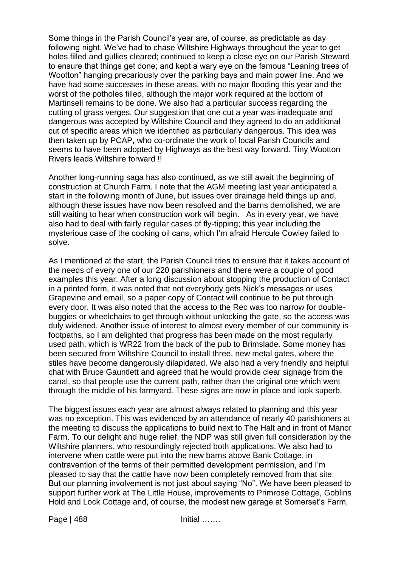Some things in the Parish Council's year are, of course, as predictable as day following night. We've had to chase Wiltshire Highways throughout the year to get holes filled and gullies cleared; continued to keep a close eye on our Parish Steward to ensure that things get done; and kept a wary eye on the famous "Leaning trees of Wootton" hanging precariously over the parking bays and main power line. And we have had some successes in these areas, with no major flooding this year and the worst of the potholes filled, although the major work required at the bottom of Martinsell remains to be done. We also had a particular success regarding the cutting of grass verges. Our suggestion that one cut a year was inadequate and dangerous was accepted by Wiltshire Council and they agreed to do an additional cut of specific areas which we identified as particularly dangerous. This idea was then taken up by PCAP, who co-ordinate the work of local Parish Councils and seems to have been adopted by Highways as the best way forward. Tiny Wootton Rivers leads Wiltshire forward !!

Another long-running saga has also continued, as we still await the beginning of construction at Church Farm. I note that the AGM meeting last year anticipated a start in the following month of June, but issues over drainage held things up and, although these issues have now been resolved and the barns demolished, we are still waiting to hear when construction work will begin. As in every year, we have also had to deal with fairly regular cases of fly-tipping; this year including the mysterious case of the cooking oil cans, which I'm afraid Hercule Cowley failed to solve.

As I mentioned at the start, the Parish Council tries to ensure that it takes account of the needs of every one of our 220 parishioners and there were a couple of good examples this year. After a long discussion about stopping the production of Contact in a printed form, it was noted that not everybody gets Nick's messages or uses Grapevine and email, so a paper copy of Contact will continue to be put through every door. It was also noted that the access to the Rec was too narrow for doublebuggies or wheelchairs to get through without unlocking the gate, so the access was duly widened. Another issue of interest to almost every member of our community is footpaths, so I am delighted that progress has been made on the most regularly used path, which is WR22 from the back of the pub to Brimslade. Some money has been secured from Wiltshire Council to install three, new metal gates, where the stiles have become dangerously dilapidated. We also had a very friendly and helpful chat with Bruce Gauntlett and agreed that he would provide clear signage from the canal, so that people use the current path, rather than the original one which went through the middle of his farmyard. These signs are now in place and look superb.

The biggest issues each year are almost always related to planning and this year was no exception. This was evidenced by an attendance of nearly 40 parishioners at the meeting to discuss the applications to build next to The Halt and in front of Manor Farm. To our delight and huge relief, the NDP was still given full consideration by the Wiltshire planners, who resoundingly rejected both applications. We also had to intervene when cattle were put into the new barns above Bank Cottage, in contravention of the terms of their permitted development permission, and I'm pleased to say that the cattle have now been completely removed from that site. But our planning involvement is not just about saying "No". We have been pleased to support further work at The Little House, improvements to Primrose Cottage, Goblins Hold and Lock Cottage and, of course, the modest new garage at Somerset's Farm,

Page | 488 Initial ……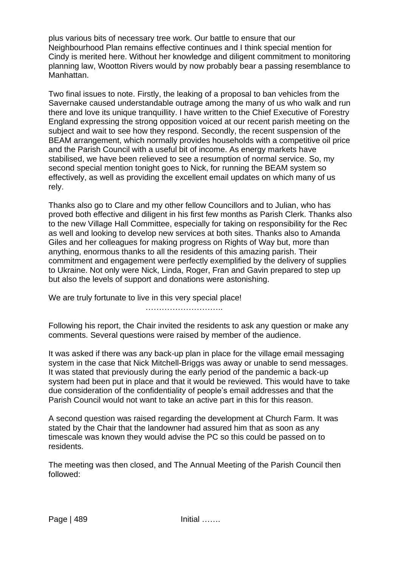plus various bits of necessary tree work. Our battle to ensure that our Neighbourhood Plan remains effective continues and I think special mention for Cindy is merited here. Without her knowledge and diligent commitment to monitoring planning law, Wootton Rivers would by now probably bear a passing resemblance to Manhattan.

Two final issues to note. Firstly, the leaking of a proposal to ban vehicles from the Savernake caused understandable outrage among the many of us who walk and run there and love its unique tranquillity. I have written to the Chief Executive of Forestry England expressing the strong opposition voiced at our recent parish meeting on the subject and wait to see how they respond. Secondly, the recent suspension of the BEAM arrangement, which normally provides households with a competitive oil price and the Parish Council with a useful bit of income. As energy markets have stabilised, we have been relieved to see a resumption of normal service. So, my second special mention tonight goes to Nick, for running the BEAM system so effectively, as well as providing the excellent email updates on which many of us rely.

Thanks also go to Clare and my other fellow Councillors and to Julian, who has proved both effective and diligent in his first few months as Parish Clerk. Thanks also to the new Village Hall Committee, especially for taking on responsibility for the Rec as well and looking to develop new services at both sites. Thanks also to Amanda Giles and her colleagues for making progress on Rights of Way but, more than anything, enormous thanks to all the residents of this amazing parish. Their commitment and engagement were perfectly exemplified by the delivery of supplies to Ukraine. Not only were Nick, Linda, Roger, Fran and Gavin prepared to step up but also the levels of support and donations were astonishing.

We are truly fortunate to live in this very special place!

………………………..

Following his report, the Chair invited the residents to ask any question or make any comments. Several questions were raised by member of the audience.

It was asked if there was any back-up plan in place for the village email messaging system in the case that Nick Mitchell-Briggs was away or unable to send messages. It was stated that previously during the early period of the pandemic a back-up system had been put in place and that it would be reviewed. This would have to take due consideration of the confidentiality of people's email addresses and that the Parish Council would not want to take an active part in this for this reason.

A second question was raised regarding the development at Church Farm. It was stated by the Chair that the landowner had assured him that as soon as any timescale was known they would advise the PC so this could be passed on to residents.

The meeting was then closed, and The Annual Meeting of the Parish Council then followed: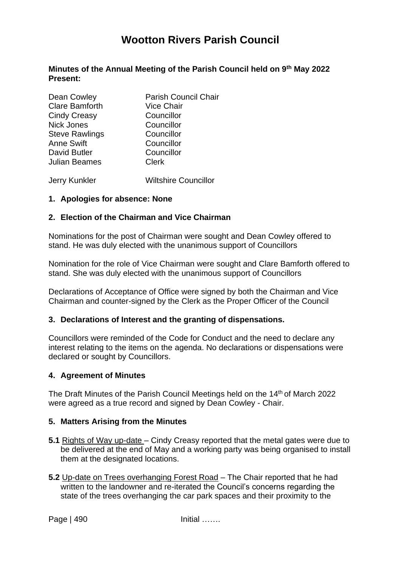# **Wootton Rivers Parish Council**

#### **Minutes of the Annual Meeting of the Parish Council held on 9th May 2022 Present:**

| Dean Cowley           | <b>Parish Council Chair</b> |
|-----------------------|-----------------------------|
| <b>Clare Bamforth</b> | <b>Vice Chair</b>           |
| <b>Cindy Creasy</b>   | Councillor                  |
| <b>Nick Jones</b>     | Councillor                  |
| <b>Steve Rawlings</b> | Councillor                  |
| <b>Anne Swift</b>     | Councillor                  |
| David Butler          | Councillor                  |
| Julian Beames         | <b>Clerk</b>                |
|                       |                             |

Jerry Kunkler Wiltshire Councillor

#### **1. Apologies for absence: None**

## **2. Election of the Chairman and Vice Chairman**

Nominations for the post of Chairman were sought and Dean Cowley offered to stand. He was duly elected with the unanimous support of Councillors

Nomination for the role of Vice Chairman were sought and Clare Bamforth offered to stand. She was duly elected with the unanimous support of Councillors

Declarations of Acceptance of Office were signed by both the Chairman and Vice Chairman and counter-signed by the Clerk as the Proper Officer of the Council

#### **3. Declarations of Interest and the granting of dispensations.**

Councillors were reminded of the Code for Conduct and the need to declare any interest relating to the items on the agenda. No declarations or dispensations were declared or sought by Councillors.

#### **4. Agreement of Minutes**

The Draft Minutes of the Parish Council Meetings held on the 14<sup>th</sup> of March 2022 were agreed as a true record and signed by Dean Cowley - Chair.

#### **5. Matters Arising from the Minutes**

- **5.1** Rights of Way up-date Cindy Creasy reported that the metal gates were due to be delivered at the end of May and a working party was being organised to install them at the designated locations.
- **5.2** Up-date on Trees overhanging Forest Road The Chair reported that he had written to the landowner and re-iterated the Council's concerns regarding the state of the trees overhanging the car park spaces and their proximity to the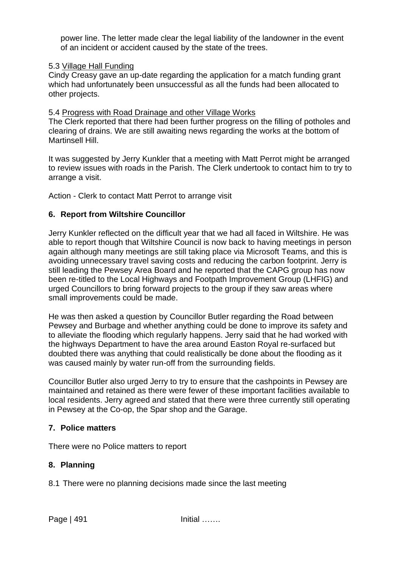power line. The letter made clear the legal liability of the landowner in the event of an incident or accident caused by the state of the trees.

## 5.3 Village Hall Funding

Cindy Creasy gave an up-date regarding the application for a match funding grant which had unfortunately been unsuccessful as all the funds had been allocated to other projects.

#### 5.4 Progress with Road Drainage and other Village Works

The Clerk reported that there had been further progress on the filling of potholes and clearing of drains. We are still awaiting news regarding the works at the bottom of Martinsell Hill.

It was suggested by Jerry Kunkler that a meeting with Matt Perrot might be arranged to review issues with roads in the Parish. The Clerk undertook to contact him to try to arrange a visit.

Action - Clerk to contact Matt Perrot to arrange visit

## **6. Report from Wiltshire Councillor**

Jerry Kunkler reflected on the difficult year that we had all faced in Wiltshire. He was able to report though that Wiltshire Council is now back to having meetings in person again although many meetings are still taking place via Microsoft Teams, and this is avoiding unnecessary travel saving costs and reducing the carbon footprint. Jerry is still leading the Pewsey Area Board and he reported that the CAPG group has now been re-titled to the Local Highways and Footpath Improvement Group (LHFIG) and urged Councillors to bring forward projects to the group if they saw areas where small improvements could be made.

He was then asked a question by Councillor Butler regarding the Road between Pewsey and Burbage and whether anything could be done to improve its safety and to alleviate the flooding which regularly happens. Jerry said that he had worked with the highways Department to have the area around Easton Royal re-surfaced but doubted there was anything that could realistically be done about the flooding as it was caused mainly by water run-off from the surrounding fields.

Councillor Butler also urged Jerry to try to ensure that the cashpoints in Pewsey are maintained and retained as there were fewer of these important facilities available to local residents. Jerry agreed and stated that there were three currently still operating in Pewsey at the Co-op, the Spar shop and the Garage.

## **7. Police matters**

There were no Police matters to report

## **8. Planning**

8.1 There were no planning decisions made since the last meeting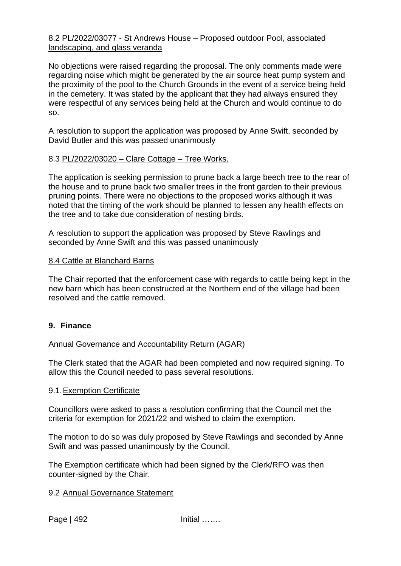#### 8.2 PL/2022/03077 - St Andrews House – Proposed outdoor Pool, associated landscaping, and glass veranda

No objections were raised regarding the proposal. The only comments made were regarding noise which might be generated by the air source heat pump system and the proximity of the pool to the Church Grounds in the event of a service being held in the cemetery. It was stated by the applicant that they had always ensured they were respectful of any services being held at the Church and would continue to do so.

A resolution to support the application was proposed by Anne Swift, seconded by David Butler and this was passed unanimously

## 8.3 PL/2022/03020 – Clare Cottage – Tree Works.

The application is seeking permission to prune back a large beech tree to the rear of the house and to prune back two smaller trees in the front garden to their previous pruning points. There were no objections to the proposed works although it was noted that the timing of the work should be planned to lessen any health effects on the tree and to take due consideration of nesting birds.

A resolution to support the application was proposed by Steve Rawlings and seconded by Anne Swift and this was passed unanimously

#### 8.4 Cattle at Blanchard Barns

The Chair reported that the enforcement case with regards to cattle being kept in the new barn which has been constructed at the Northern end of the village had been resolved and the cattle removed.

#### **9. Finance**

Annual Governance and Accountability Return (AGAR)

The Clerk stated that the AGAR had been completed and now required signing. To allow this the Council needed to pass several resolutions.

#### 9.1.Exemption Certificate

Councillors were asked to pass a resolution confirming that the Council met the criteria for exemption for 2021/22 and wished to claim the exemption.

The motion to do so was duly proposed by Steve Rawlings and seconded by Anne Swift and was passed unanimously by the Council.

The Exemption certificate which had been signed by the Clerk/RFO was then counter-signed by the Chair.

#### 9.2 Annual Governance Statement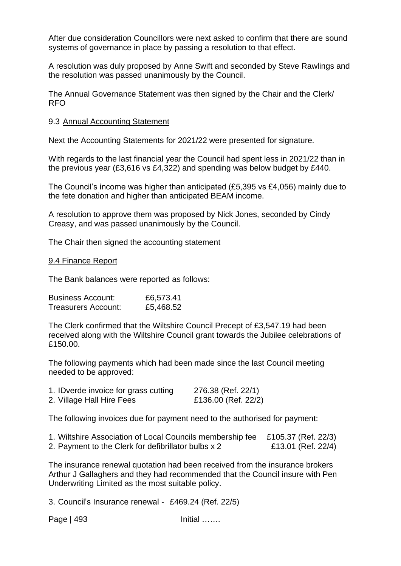After due consideration Councillors were next asked to confirm that there are sound systems of governance in place by passing a resolution to that effect.

A resolution was duly proposed by Anne Swift and seconded by Steve Rawlings and the resolution was passed unanimously by the Council.

The Annual Governance Statement was then signed by the Chair and the Clerk/ RFO

#### 9.3 Annual Accounting Statement

Next the Accounting Statements for 2021/22 were presented for signature.

With regards to the last financial year the Council had spent less in 2021/22 than in the previous year (£3,616 vs £4,322) and spending was below budget by £440.

The Council's income was higher than anticipated (£5,395 vs £4,056) mainly due to the fete donation and higher than anticipated BEAM income.

A resolution to approve them was proposed by Nick Jones, seconded by Cindy Creasy, and was passed unanimously by the Council.

The Chair then signed the accounting statement

#### 9.4 Finance Report

The Bank balances were reported as follows:

| <b>Business Account:</b>   | £6,573.41 |
|----------------------------|-----------|
| <b>Treasurers Account:</b> | £5,468.52 |

The Clerk confirmed that the Wiltshire Council Precept of £3,547.19 had been received along with the Wiltshire Council grant towards the Jubilee celebrations of £150.00.

The following payments which had been made since the last Council meeting needed to be approved:

| 1. IDverde invoice for grass cutting | 276.38 (Ref. 22/1)  |
|--------------------------------------|---------------------|
| 2. Village Hall Hire Fees            | £136.00 (Ref. 22/2) |

The following invoices due for payment need to the authorised for payment:

| 1. Wiltshire Association of Local Councils membership fee £105.37 (Ref. 22/3) |                    |
|-------------------------------------------------------------------------------|--------------------|
| 2. Payment to the Clerk for defibrillator bulbs x 2                           | £13.01 (Ref. 22/4) |

The insurance renewal quotation had been received from the insurance brokers Arthur J Gallaghers and they had recommended that the Council insure with Pen Underwriting Limited as the most suitable policy.

3. Council's Insurance renewal - £469.24 (Ref. 22/5)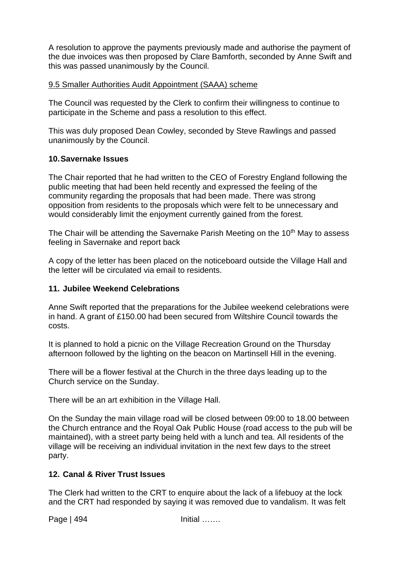A resolution to approve the payments previously made and authorise the payment of the due invoices was then proposed by Clare Bamforth, seconded by Anne Swift and this was passed unanimously by the Council.

## 9.5 Smaller Authorities Audit Appointment (SAAA) scheme

The Council was requested by the Clerk to confirm their willingness to continue to participate in the Scheme and pass a resolution to this effect.

This was duly proposed Dean Cowley, seconded by Steve Rawlings and passed unanimously by the Council.

#### **10.Savernake Issues**

The Chair reported that he had written to the CEO of Forestry England following the public meeting that had been held recently and expressed the feeling of the community regarding the proposals that had been made. There was strong opposition from residents to the proposals which were felt to be unnecessary and would considerably limit the enjoyment currently gained from the forest.

The Chair will be attending the Savernake Parish Meeting on the 10<sup>th</sup> May to assess feeling in Savernake and report back

A copy of the letter has been placed on the noticeboard outside the Village Hall and the letter will be circulated via email to residents.

#### **11. Jubilee Weekend Celebrations**

Anne Swift reported that the preparations for the Jubilee weekend celebrations were in hand. A grant of £150.00 had been secured from Wiltshire Council towards the costs.

It is planned to hold a picnic on the Village Recreation Ground on the Thursday afternoon followed by the lighting on the beacon on Martinsell Hill in the evening.

There will be a flower festival at the Church in the three days leading up to the Church service on the Sunday.

There will be an art exhibition in the Village Hall.

On the Sunday the main village road will be closed between 09:00 to 18.00 between the Church entrance and the Royal Oak Public House (road access to the pub will be maintained), with a street party being held with a lunch and tea. All residents of the village will be receiving an individual invitation in the next few days to the street party.

## **12. Canal & River Trust Issues**

The Clerk had written to the CRT to enquire about the lack of a lifebuoy at the lock and the CRT had responded by saying it was removed due to vandalism. It was felt

Page | 494 **Initial** ……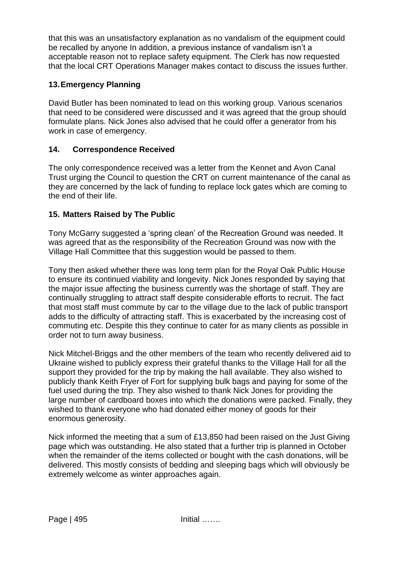that this was an unsatisfactory explanation as no vandalism of the equipment could be recalled by anyone In addition, a previous instance of vandalism isn't a acceptable reason not to replace safety equipment. The Clerk has now requested that the local CRT Operations Manager makes contact to discuss the issues further.

## **13.Emergency Planning**

David Butler has been nominated to lead on this working group. Various scenarios that need to be considered were discussed and it was agreed that the group should formulate plans. Nick Jones also advised that he could offer a generator from his work in case of emergency.

## **14. Correspondence Received**

The only correspondence received was a letter from the Kennet and Avon Canal Trust urging the Council to question the CRT on current maintenance of the canal as they are concerned by the lack of funding to replace lock gates which are coming to the end of their life.

## **15. Matters Raised by The Public**

Tony McGarry suggested a 'spring clean' of the Recreation Ground was needed. It was agreed that as the responsibility of the Recreation Ground was now with the Village Hall Committee that this suggestion would be passed to them.

Tony then asked whether there was long term plan for the Royal Oak Public House to ensure its continued viability and longevity. Nick Jones responded by saying that the major issue affecting the business currently was the shortage of staff. They are continually struggling to attract staff despite considerable efforts to recruit. The fact that most staff must commute by car to the village due to the lack of public transport adds to the difficulty of attracting staff. This is exacerbated by the increasing cost of commuting etc. Despite this they continue to cater for as many clients as possible in order not to turn away business.

Nick Mitchel-Briggs and the other members of the team who recently delivered aid to Ukraine wished to publicly express their grateful thanks to the Village Hall for all the support they provided for the trip by making the hall available. They also wished to publicly thank Keith Fryer of Fort for supplying bulk bags and paying for some of the fuel used during the trip. They also wished to thank Nick Jones for providing the large number of cardboard boxes into which the donations were packed. Finally, they wished to thank everyone who had donated either money of goods for their enormous generosity.

Nick informed the meeting that a sum of £13,850 had been raised on the Just Giving page which was outstanding. He also stated that a further trip is planned in October when the remainder of the items collected or bought with the cash donations, will be delivered. This mostly consists of bedding and sleeping bags which will obviously be extremely welcome as winter approaches again.